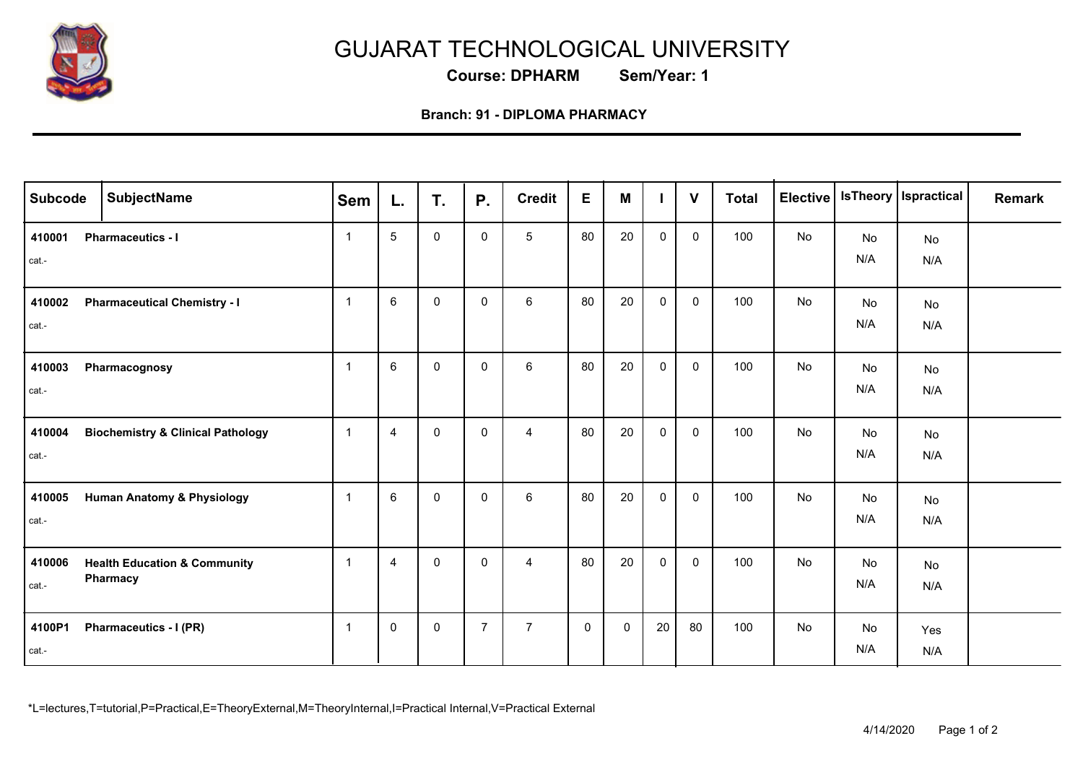

## GUJARAT TECHNOLOGICAL UNIVERSITY

**Course: DPHARM Sem/Year: 1**

## **Branch: 91 - DIPLOMA PHARMACY**

| <b>Subcode</b>  | <b>SubjectName</b>                                  | Sem            | L.              | T.           | <b>P.</b>      | <b>Credit</b>   | E           | M  |             | $\mathbf{V}$ | <b>Total</b> | <b>Elective</b> |           | IsTheory   Ispractical | <b>Remark</b> |
|-----------------|-----------------------------------------------------|----------------|-----------------|--------------|----------------|-----------------|-------------|----|-------------|--------------|--------------|-----------------|-----------|------------------------|---------------|
| 410001<br>cat.- | <b>Pharmaceutics - I</b>                            | $\overline{1}$ | $5\phantom{.0}$ | $\mathbf 0$  | $\mathbf 0$    | $5\phantom{.0}$ | 80          | 20 | $\mathbf 0$ | $\mathbf 0$  | 100          | No              | No<br>N/A | No<br>N/A              |               |
| 410002<br>cat.- | <b>Pharmaceutical Chemistry - I</b>                 | $\overline{1}$ | 6               | $\mathbf 0$  | $\mathbf 0$    | $6\phantom{.}$  | 80          | 20 | $\mathbf 0$ | $\mathbf 0$  | 100          | No              | No<br>N/A | No<br>N/A              |               |
| 410003<br>cat.- | Pharmacognosy                                       | $\overline{1}$ | $\,6\,$         | $\mathbf 0$  | $\mathbf 0$    | $\,6\,$         | 80          | 20 | $\mathbf 0$ | $\mathbf 0$  | 100          | No              | No<br>N/A | No<br>N/A              |               |
| 410004<br>cat.- | <b>Biochemistry &amp; Clinical Pathology</b>        | $\overline{1}$ | $\overline{4}$  | $\mathbf{0}$ | $\mathbf{0}$   | $\overline{4}$  | 80          | 20 | $\mathbf 0$ | $\mathbf 0$  | 100          | No              | No<br>N/A | No<br>N/A              |               |
| 410005<br>cat.- | <b>Human Anatomy &amp; Physiology</b>               | $\mathbf{1}$   | $\,6\,$         | $\mathbf 0$  | $\mathbf 0$    | 6               | 80          | 20 | $\mathbf 0$ | $\mathbf 0$  | 100          | No              | No<br>N/A | No<br>N/A              |               |
| 410006<br>cat.- | <b>Health Education &amp; Community</b><br>Pharmacy | $\overline{1}$ | $\overline{4}$  | $\mathbf{0}$ | $\mathbf{0}$   | $\overline{4}$  | 80          | 20 | $\mathbf 0$ | $\mathbf{0}$ | 100          | No              | No<br>N/A | No<br>N/A              |               |
| 4100P1<br>cat.- | Pharmaceutics - I (PR)                              | $\overline{1}$ | $\mathbf 0$     | $\mathbf 0$  | $\overline{7}$ | $\overline{7}$  | $\mathbf 0$ | 0  | 20          | 80           | 100          | No              | No<br>N/A | Yes<br>N/A             |               |

\*L=lectures,T=tutorial,P=Practical,E=TheoryExternal,M=TheoryInternal,I=Practical Internal,V=Practical External